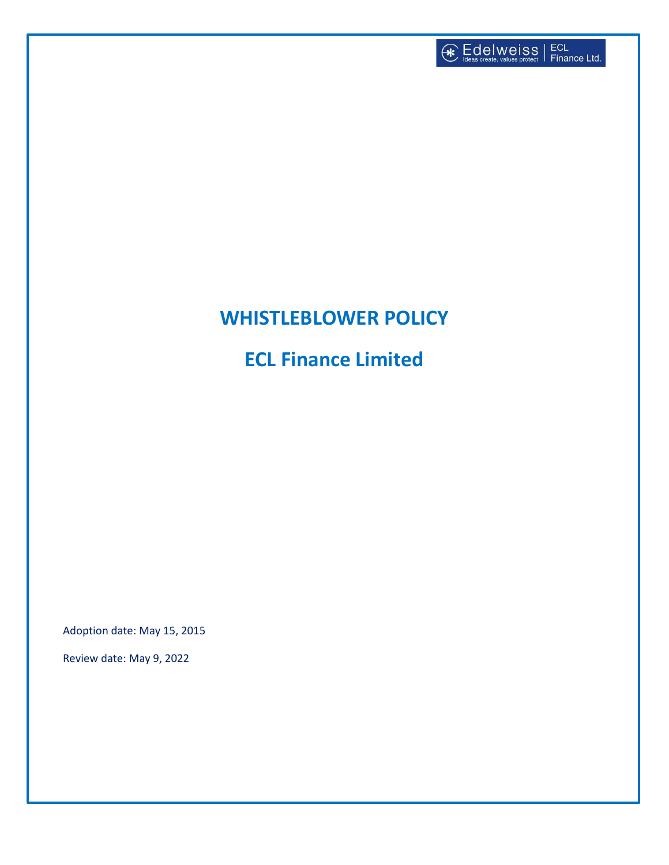

# **WHISTLEBLOWER POLICY**

**ECL Finance Limited**

Adoption date: May 15, 2015

Review date: May 9, 2022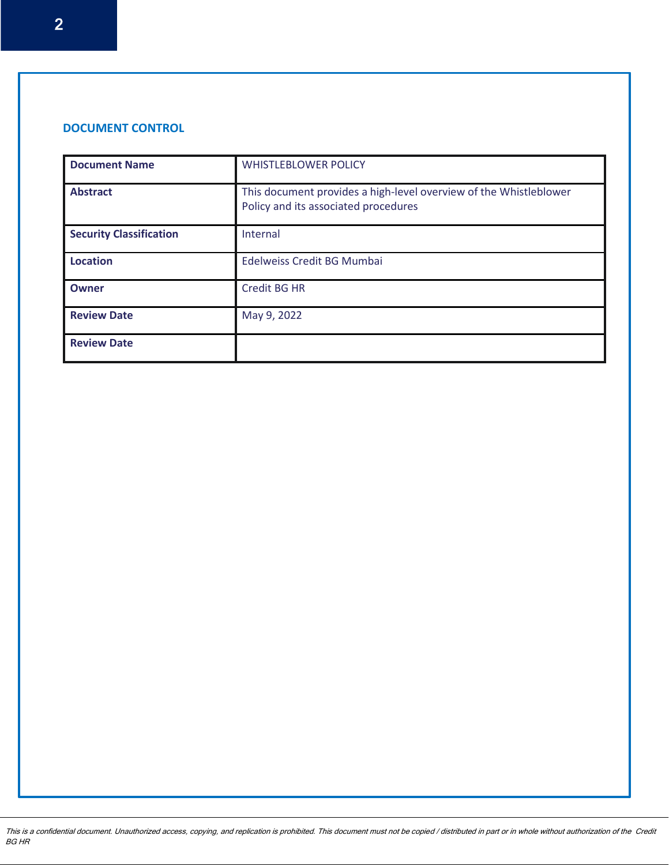## **DOCUMENT CONTROL**

| <b>Document Name</b>           | <b>WHISTLEBLOWER POLICY</b>                                                                               |  |
|--------------------------------|-----------------------------------------------------------------------------------------------------------|--|
| <b>Abstract</b>                | This document provides a high-level overview of the Whistleblower<br>Policy and its associated procedures |  |
| <b>Security Classification</b> | Internal                                                                                                  |  |
| <b>Location</b>                | Edelweiss Credit BG Mumbai                                                                                |  |
| Owner                          | Credit BG HR                                                                                              |  |
| <b>Review Date</b>             | May 9, 2022                                                                                               |  |
| <b>Review Date</b>             |                                                                                                           |  |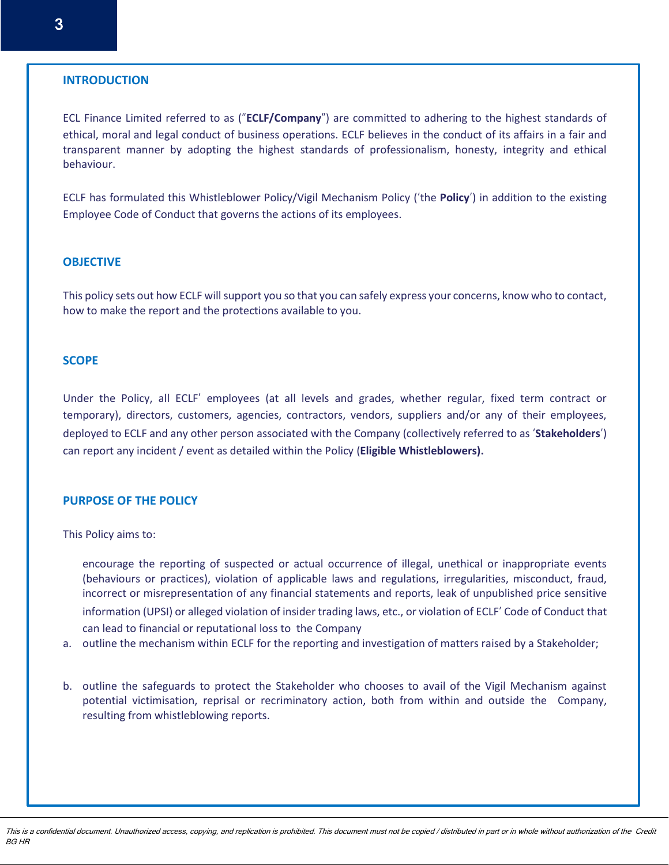#### **INTRODUCTION**

ECL Finance Limited referred to as ("**ECLF/Company**") are committed to adhering to the highest standards of ethical, moral and legal conduct of business operations. ECLF believes in the conduct of its affairs in a fair and transparent manner by adopting the highest standards of professionalism, honesty, integrity and ethical behaviour.

ECLF has formulated this Whistleblower Policy/Vigil Mechanism Policy ('the **Policy**') in addition to the existing Employee Code of Conduct that governs the actions of its employees.

#### **OBJECTIVE**

This policy sets out how ECLF will support you so that you can safely express your concerns, know who to contact, how to make the report and the protections available to you.

#### **SCOPE**

Under the Policy, all ECLF' employees (at all levels and grades, whether regular, fixed term contract or temporary), directors, customers, agencies, contractors, vendors, suppliers and/or any of their employees, deployed to ECLF and any other person associated with the Company (collectively referred to as '**Stakeholders**') can report any incident / event as detailed within the Policy (**Eligible Whistleblowers).**

#### **PURPOSE OF THE POLICY**

This Policy aims to:

encourage the reporting of suspected or actual occurrence of illegal, unethical or inappropriate events (behaviours or practices), violation of applicable laws and regulations, irregularities, misconduct, fraud, incorrect or misrepresentation of any financial statements and reports, leak of unpublished price sensitive information (UPSI) or alleged violation of insider trading laws, etc., or violation of ECLF' Code of Conduct that can lead to financial or reputational loss to the Company

- a. outline the mechanism within ECLF for the reporting and investigation of matters raised by a Stakeholder;
- b. outline the safeguards to protect the Stakeholder who chooses to avail of the Vigil Mechanism against potential victimisation, reprisal or recriminatory action, both from within and outside the Company, resulting from whistleblowing reports.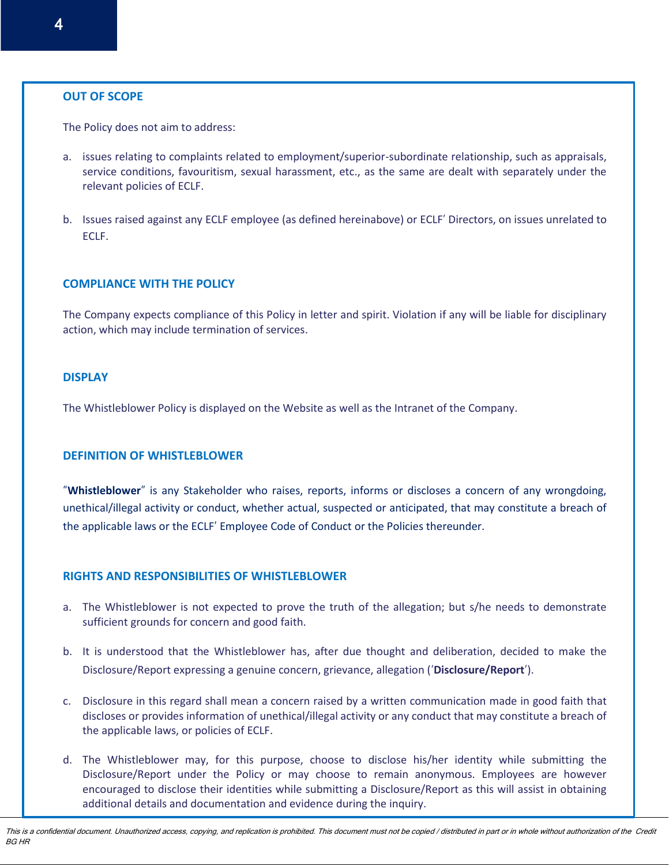#### **OUT OF SCOPE**

The Policy does not aim to address:

- a. issues relating to complaints related to employment/superior-subordinate relationship, such as appraisals, service conditions, favouritism, sexual harassment, etc., as the same are dealt with separately under the relevant policies of ECLF.
- b. Issues raised against any ECLF employee (as defined hereinabove) or ECLF' Directors, on issues unrelated to ECLF.

## **COMPLIANCE WITH THE POLICY**

The Company expects compliance of this Policy in letter and spirit. Violation if any will be liable for disciplinary action, which may include termination of services.

#### **DISPLAY**

The Whistleblower Policy is displayed on the Website as well as the Intranet of the Company.

## **DEFINITION OF WHISTLEBLOWER**

"**Whistleblower**" is any Stakeholder who raises, reports, informs or discloses a concern of any wrongdoing, unethical/illegal activity or conduct, whether actual, suspected or anticipated, that may constitute a breach of the applicable laws or the ECLF' Employee Code of Conduct or the Policies thereunder.

## **RIGHTS AND RESPONSIBILITIES OF WHISTLEBLOWER**

- a. The Whistleblower is not expected to prove the truth of the allegation; but s/he needs to demonstrate sufficient grounds for concern and good faith.
- b. It is understood that the Whistleblower has, after due thought and deliberation, decided to make the Disclosure/Report expressing a genuine concern, grievance, allegation ('**Disclosure/Report**').
- c. Disclosure in this regard shall mean a concern raised by a written communication made in good faith that discloses or provides information of unethical/illegal activity or any conduct that may constitute a breach of the applicable laws, or policies of ECLF.
- d. The Whistleblower may, for this purpose, choose to disclose his/her identity while submitting the Disclosure/Report under the Policy or may choose to remain anonymous. Employees are however encouraged to disclose their identities while submitting a Disclosure/Report as this will assist in obtaining additional details and documentation and evidence during the inquiry.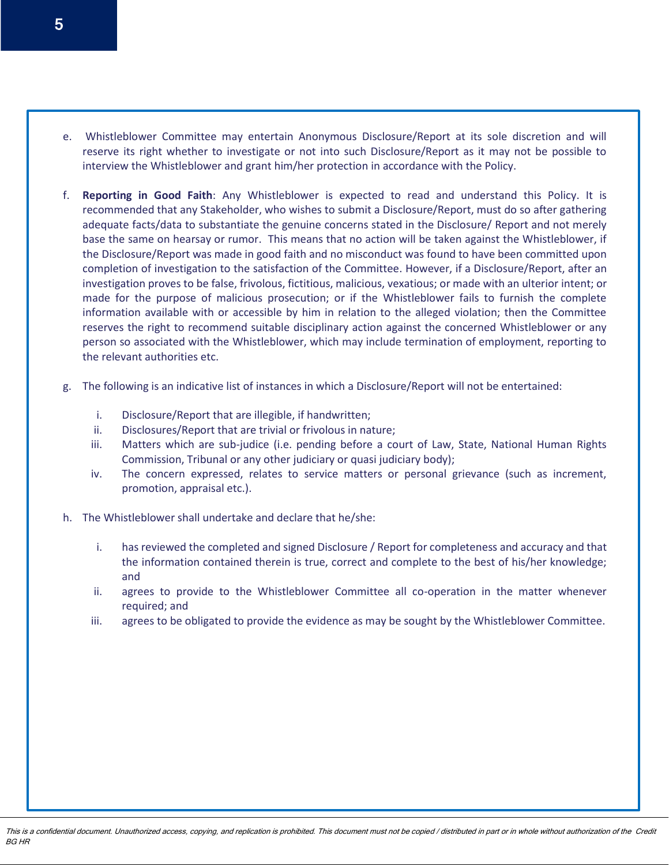- e. Whistleblower Committee may entertain Anonymous Disclosure/Report at its sole discretion and will reserve its right whether to investigate or not into such Disclosure/Report as it may not be possible to interview the Whistleblower and grant him/her protection in accordance with the Policy.
- f. **Reporting in Good Faith**: Any Whistleblower is expected to read and understand this Policy. It is recommended that any Stakeholder, who wishes to submit a Disclosure/Report, must do so after gathering adequate facts/data to substantiate the genuine concerns stated in the Disclosure/ Report and not merely base the same on hearsay or rumor. This means that no action will be taken against the Whistleblower, if the Disclosure/Report was made in good faith and no misconduct was found to have been committed upon completion of investigation to the satisfaction of the Committee. However, if a Disclosure/Report, after an investigation proves to be false, frivolous, fictitious, malicious, vexatious; or made with an ulterior intent; or made for the purpose of malicious prosecution; or if the Whistleblower fails to furnish the complete information available with or accessible by him in relation to the alleged violation; then the Committee reserves the right to recommend suitable disciplinary action against the concerned Whistleblower or any person so associated with the Whistleblower, which may include termination of employment, reporting to the relevant authorities etc.
- g. The following is an indicative list of instances in which a Disclosure/Report will not be entertained:
	- i. Disclosure/Report that are illegible, if handwritten;
	- ii. Disclosures/Report that are trivial or frivolous in nature;
	- iii. Matters which are sub-judice (i.e. pending before a court of Law, State, National Human Rights Commission, Tribunal or any other judiciary or quasi judiciary body);
	- iv. The concern expressed, relates to service matters or personal grievance (such as increment, promotion, appraisal etc.).
- h. The Whistleblower shall undertake and declare that he/she:
	- i. has reviewed the completed and signed Disclosure / Report for completeness and accuracy and that the information contained therein is true, correct and complete to the best of his/her knowledge; and
	- ii. agrees to provide to the Whistleblower Committee all co-operation in the matter whenever required; and
	- iii. agrees to be obligated to provide the evidence as may be sought by the Whistleblower Committee.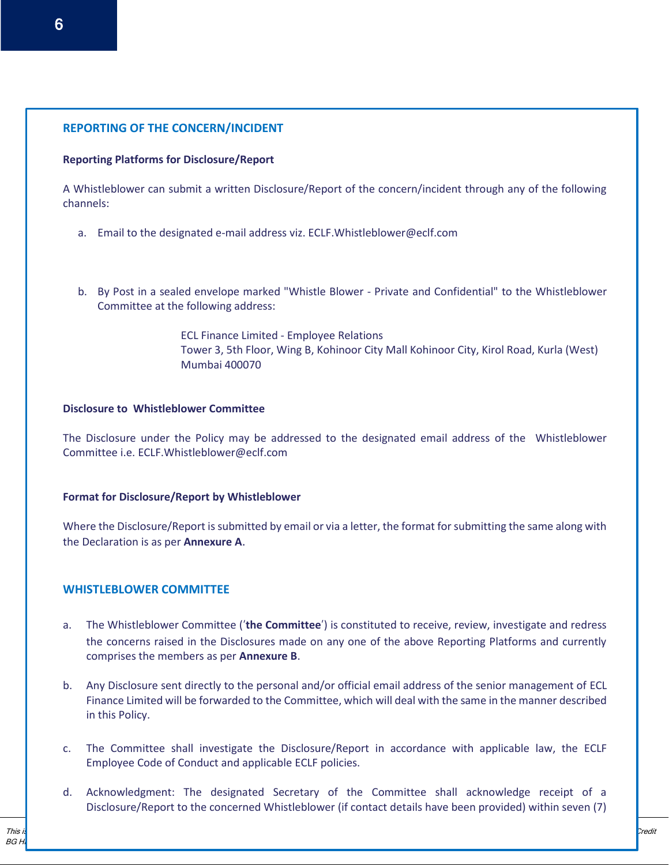# **REPORTING OF THE CONCERN/INCIDENT**

# **Reporting Platforms for Disclosure/Report**

A Whistleblower can submit a written Disclosure/Report of the concern/incident through any of the following channels:

- a. Email to the designated e-mail address viz. [ECLF.Whistleblower@eclf.com](mailto:ECLF.Whistleblower@eclf.com)
- b. By Post in a sealed envelope marked "Whistle Blower Private and Confidential" to the Whistleblower Committee at the following address:

ECL Finance Limited - Employee Relations Tower 3, 5th Floor, Wing B, Kohinoor City Mall Kohinoor City, Kirol Road, Kurla (West) Mumbai 400070

# **Disclosure to Whistleblower Committee**

The Disclosure under the Policy may be addressed to the designated email address of the Whistleblower Committee i.e. [ECLF.Whistleblower@eclf.com](mailto:ECLF.Whistleblower@eclf.com)

# **Format for Disclosure/Report by Whistleblower**

Where the Disclosure/Report is submitted by email or via a letter, the format for submitting the same along with the Declaration is as per **Annexure A**.

# **WHISTLEBLOWER COMMITTEE**

- a. The Whistleblower Committee ('**the Committee**') is constituted to receive, review, investigate and redress the concerns raised in the Disclosures made on any one of the above Reporting Platforms and currently comprises the members as per **Annexure B**.
- b. Any Disclosure sent directly to the personal and/or official email address of the senior management of ECL Finance Limited will be forwarded to the Committee, which will deal with the same in the manner described in this Policy.
- c. The Committee shall investigate the Disclosure/Report in accordance with applicable law, the ECLF Employee Code of Conduct and applicable ECLF policies.
- d. Acknowledgment: The designated Secretary of the Committee shall acknowledge receipt of a Disclosure/Report to the concerned Whistleblower (if contact details have been provided) within seven (7)

This manual is for internal use only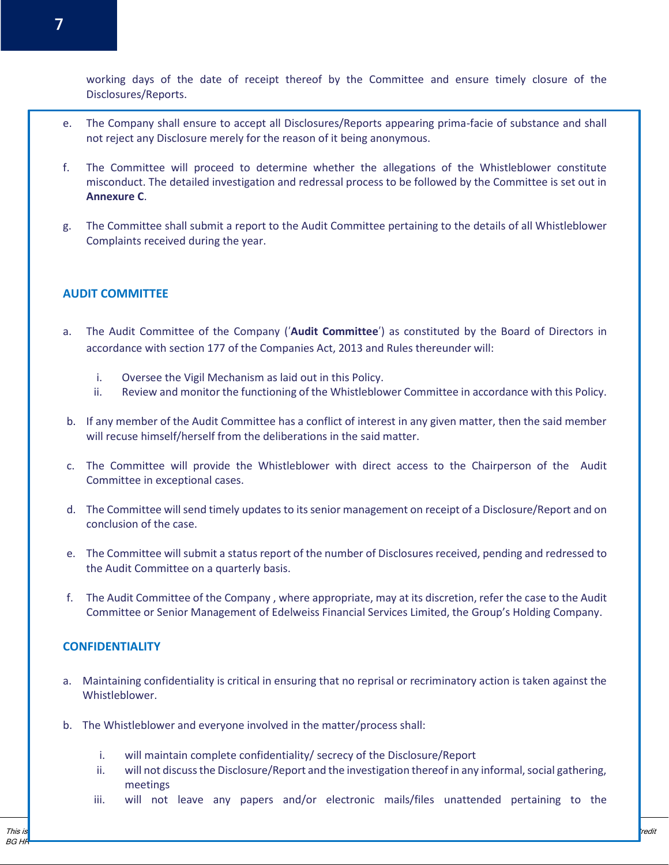working days of the date of receipt thereof by the Committee and ensure timely closure of the Disclosures/Reports.

- e. The Company shall ensure to accept all Disclosures/Reports appearing prima-facie of substance and shall not reject any Disclosure merely for the reason of it being anonymous.
- f. The Committee will proceed to determine whether the allegations of the Whistleblower constitute misconduct. The detailed investigation and redressal process to be followed by the Committee is set out in **Annexure C**.
- g. The Committee shall submit a report to the Audit Committee pertaining to the details of all Whistleblower Complaints received during the year.

## **AUDIT COMMITTEE**

- a. The Audit Committee of the Company ('**Audit Committee**') as constituted by the Board of Directors in accordance with section 177 of the Companies Act, 2013 and Rules thereunder will:
	- i. Oversee the Vigil Mechanism as laid out in this Policy.
	- ii. Review and monitor the functioning of the Whistleblower Committee in accordance with this Policy.
- b. If any member of the Audit Committee has a conflict of interest in any given matter, then the said member will recuse himself/herself from the deliberations in the said matter.
- c. The Committee will provide the Whistleblower with direct access to the Chairperson of the Audit Committee in exceptional cases.
- d. The Committee will send timely updates to its senior management on receipt of a Disclosure/Report and on conclusion of the case.
- e. The Committee will submit a status report of the number of Disclosures received, pending and redressed to the Audit Committee on a quarterly basis.
- f. The Audit Committee of the Company , where appropriate, may at its discretion, refer the case to the Audit Committee or Senior Management of Edelweiss Financial Services Limited, the Group's Holding Company.

## **CONFIDENTIALITY**

- a. Maintaining confidentiality is critical in ensuring that no reprisal or recriminatory action is taken against the Whistleblower.
- b. The Whistleblower and everyone involved in the matter/process shall:
	- i. will maintain complete confidentiality/ secrecy of the Disclosure/Report
	- ii. will not discuss the Disclosure/Report and the investigation thereof in any informal, social gathering, meetings
	- iii. will not leave any papers and/or electronic mails/files unattended pertaining to the

This manual is for internal use only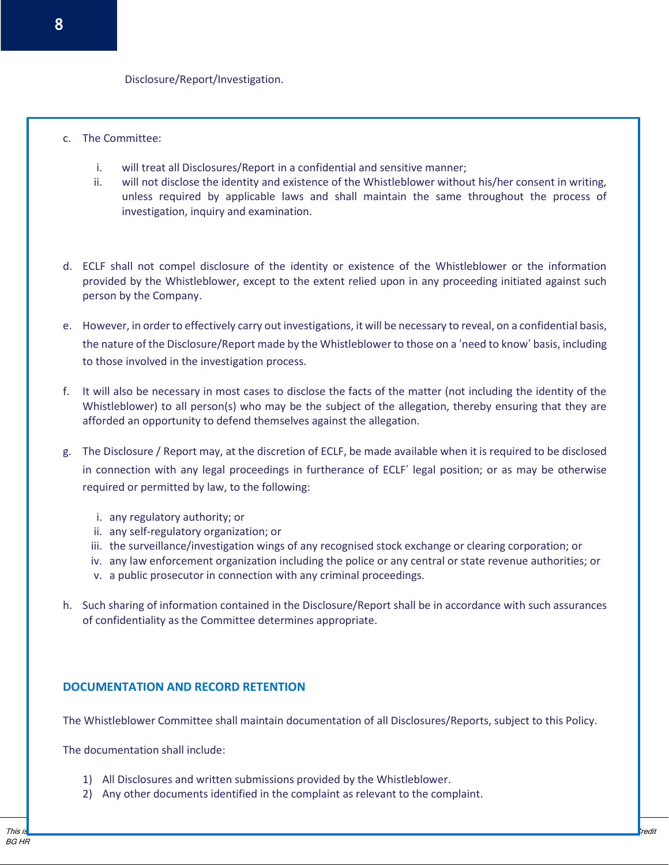- c. The Committee:
	- i. will treat all Disclosures/Report in a confidential and sensitive manner;
	- ii. will not disclose the identity and existence of the Whistleblower without his/her consent in writing, unless required by applicable laws and shall maintain the same throughout the process of investigation, inquiry and examination.
- d. ECLF shall not compel disclosure of the identity or existence of the Whistleblower or the information provided by the Whistleblower, except to the extent relied upon in any proceeding initiated against such person by the Company.
- e. However, in order to effectively carry out investigations, it will be necessary to reveal, on a confidential basis, the nature of the Disclosure/Report made by the Whistleblower to those on a 'need to know' basis, including to those involved in the investigation process.
- f. It will also be necessary in most cases to disclose the facts of the matter (not including the identity of the Whistleblower) to all person(s) who may be the subject of the allegation, thereby ensuring that they are afforded an opportunity to defend themselves against the allegation.
- g. The Disclosure / Report may, at the discretion of ECLF, be made available when it is required to be disclosed in connection with any legal proceedings in furtherance of ECLF' legal position; or as may be otherwise required or permitted by law, to the following:
	- i. any regulatory authority; or
	- ii. any self-regulatory organization; or
	- iii. the surveillance/investigation wings of any recognised stock exchange or clearing corporation; or
	- iv. any law enforcement organization including the police or any central or state revenue authorities; or
	- v. a public prosecutor in connection with any criminal proceedings.
- h. Such sharing of information contained in the Disclosure/Report shall be in accordance with such assurances of confidentiality as the Committee determines appropriate.

## **DOCUMENTATION AND RECORD RETENTION**

The Whistleblower Committee shall maintain documentation of all Disclosures/Reports, subject to this Policy.

The documentation shall include:

- 1) All Disclosures and written submissions provided by the Whistleblower.
- 2) Any other documents identified in the complaint as relevant to the complaint.

This manual is for internal use only internal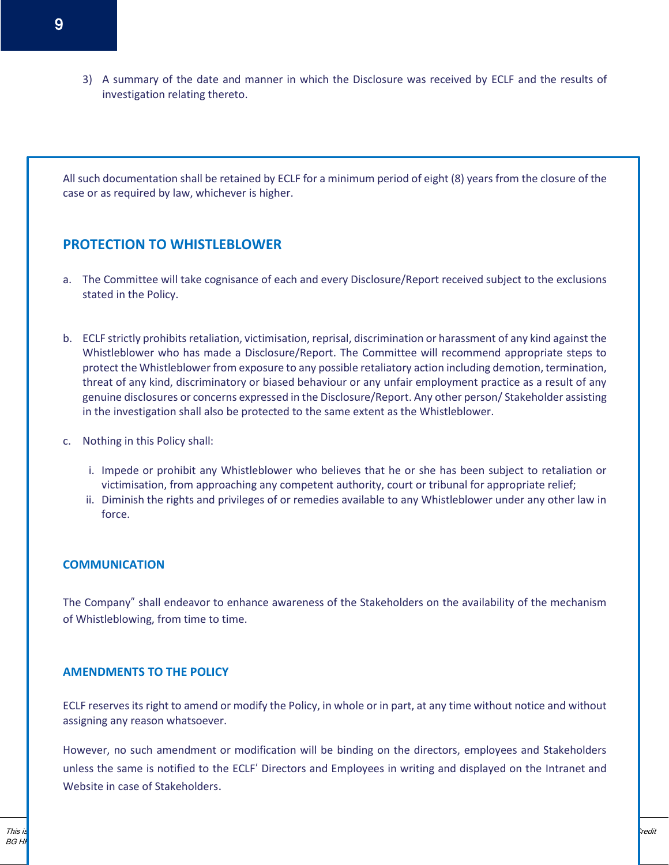3) A summary of the date and manner in which the Disclosure was received by ECLF and the results of investigation relating thereto.

All such documentation shall be retained by ECLF for a minimum period of eight (8) years from the closure of the case or as required by law, whichever is higher.

# **PROTECTION TO WHISTLEBLOWER**

- a. The Committee will take cognisance of each and every Disclosure/Report received subject to the exclusions stated in the Policy.
- b. ECLF strictly prohibits retaliation, victimisation, reprisal, discrimination or harassment of any kind against the Whistleblower who has made a Disclosure/Report. The Committee will recommend appropriate steps to protect the Whistleblower from exposure to any possible retaliatory action including demotion, termination, threat of any kind, discriminatory or biased behaviour or any unfair employment practice as a result of any genuine disclosures or concerns expressed in the Disclosure/Report. Any other person/ Stakeholder assisting in the investigation shall also be protected to the same extent as the Whistleblower.
- c. Nothing in this Policy shall:
	- i. Impede or prohibit any Whistleblower who believes that he or she has been subject to retaliation or victimisation, from approaching any competent authority, court or tribunal for appropriate relief;
	- ii. Diminish the rights and privileges of or remedies available to any Whistleblower under any other law in force.

#### **COMMUNICATION**

The Company" shall endeavor to enhance awareness of the Stakeholders on the availability of the mechanism of Whistleblowing, from time to time.

#### **AMENDMENTS TO THE POLICY**

ECLF reserves its right to amend or modify the Policy, in whole or in part, at any time without notice and without assigning any reason whatsoever.

However, no such amendment or modification will be binding on the directors, employees and Stakeholders unless the same is notified to the ECLF' Directors and Employees in writing and displayed on the Intranet and Website in case of Stakeholders.

This manual is for internal use only internal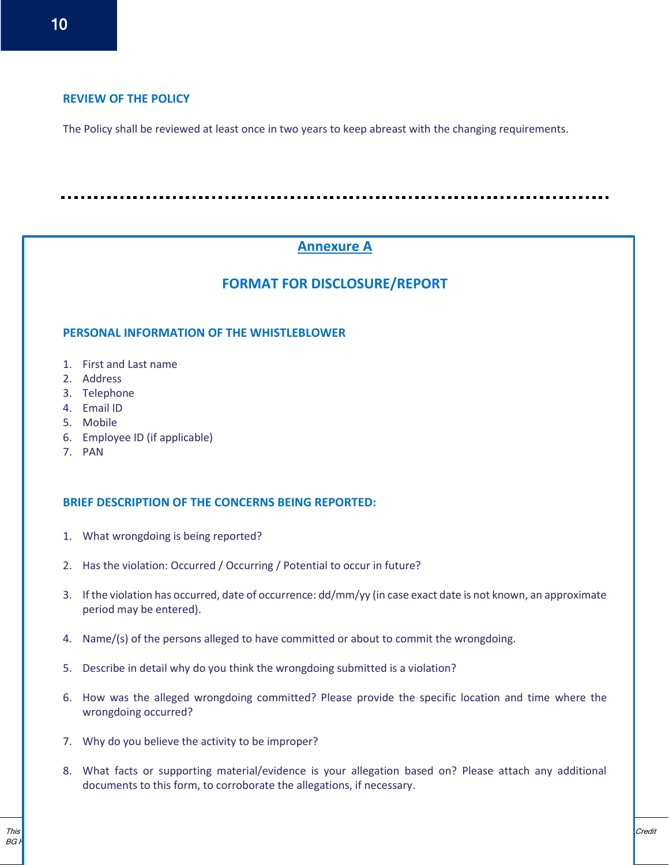## **REVIEW OF THE POLICY**

The Policy shall be reviewed at least once in two years to keep abreast with the changing requirements.

# **Annexure A**

# **FORMAT FOR DISCLOSURE/REPORT**

## **PERSONAL INFORMATION OF THE WHISTLEBLOWER**

- 1. First and Last name
- 2. Address
- 3. Telephone
- 4. Email ID
- 5. Mobile
- 6. Employee ID (if applicable)
- 7. PAN

#### **BRIEF DESCRIPTION OF THE CONCERNS BEING REPORTED:**

- 1. What wrongdoing is being reported?
- 2. Has the violation: Occurred / Occurring / Potential to occur in future?
- 3. If the violation has occurred, date of occurrence: dd/mm/yy (in case exact date is not known, an approximate period may be entered).
- 4. Name/(s) of the persons alleged to have committed or about to commit the wrongdoing.
- 5. Describe in detail why do you think the wrongdoing submitted is a violation?
- 6. How was the alleged wrongdoing committed? Please provide the specific location and time where the wrongdoing occurred?
- 7. Why do you believe the activity to be improper?
- 8. What facts or supporting material/evidence is your allegation based on? Please attach any additional documents to this form, to corroborate the allegations, if necessary.

This manual is for internal use only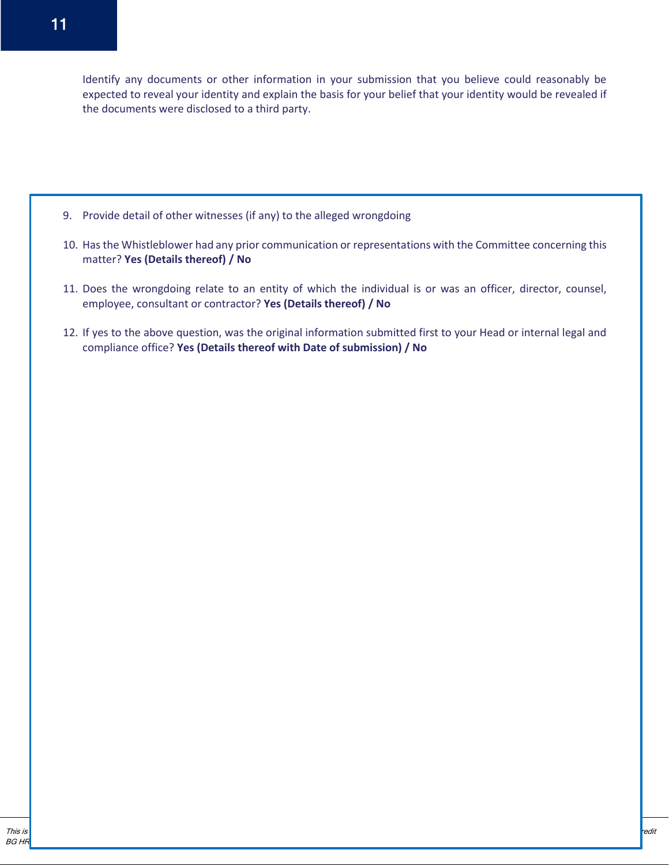Identify any documents or other information in your submission that you believe could reasonably be expected to reveal your identity and explain the basis for your belief that your identity would be revealed if the documents were disclosed to a third party.

- 9. Provide detail of other witnesses (if any) to the alleged wrongdoing
- 10. Has the Whistleblower had any prior communication or representations with the Committee concerning this matter? **Yes (Details thereof) / No**
- 11. Does the wrongdoing relate to an entity of which the individual is or was an officer, director, counsel, employee, consultant or contractor? **Yes (Details thereof) / No**
- 12. If yes to the above question, was the original information submitted first to your Head or internal legal and compliance office? **Yes (Details thereof with Date of submission) / No**

This manual is for internal use only internal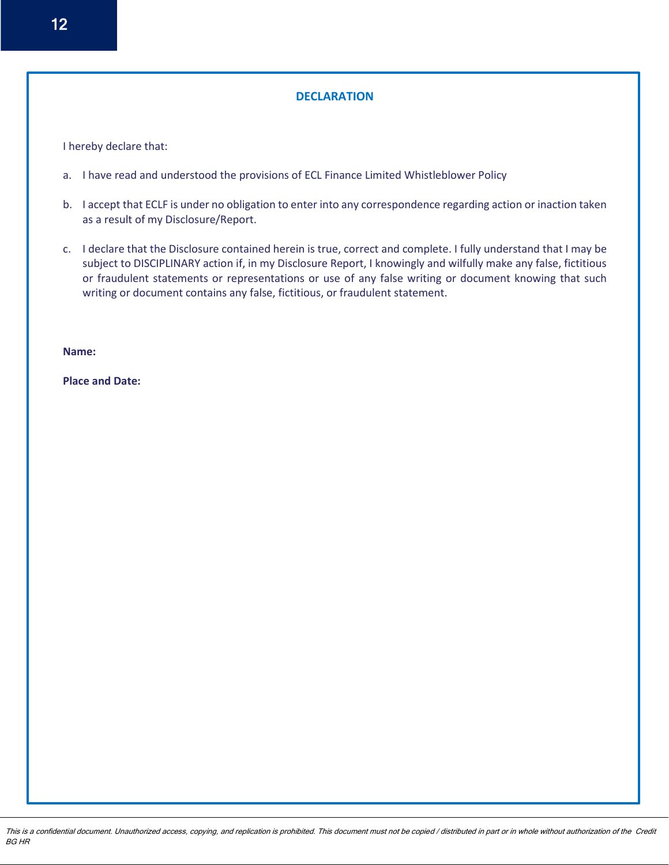# **DECLARATION**

I hereby declare that:

- a. I have read and understood the provisions of ECL Finance Limited Whistleblower Policy
- b. I accept that ECLF is under no obligation to enter into any correspondence regarding action or inaction taken as a result of my Disclosure/Report.
- c. I declare that the Disclosure contained herein is true, correct and complete. I fully understand that I may be subject to DISCIPLINARY action if, in my Disclosure Report, I knowingly and wilfully make any false, fictitious or fraudulent statements or representations or use of any false writing or document knowing that such writing or document contains any false, fictitious, or fraudulent statement.

**Name:** 

**Place and Date:**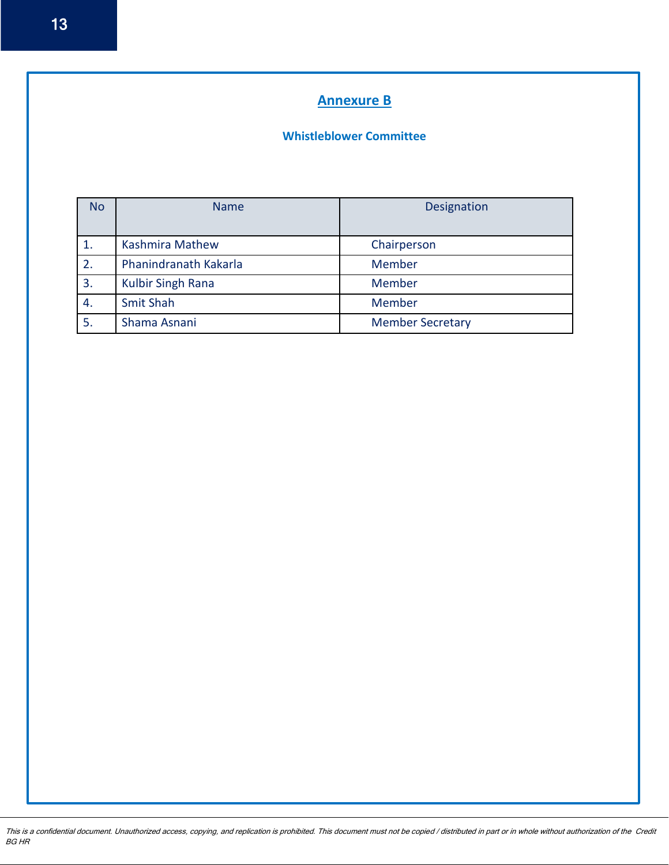# **Annexure B**

# **Whistleblower Committee**

| <b>No</b> | <b>Name</b>              | Designation             |
|-----------|--------------------------|-------------------------|
|           | <b>Kashmira Mathew</b>   | Chairperson             |
| 2.        | Phanindranath Kakarla    | Member                  |
| 3.        | <b>Kulbir Singh Rana</b> | Member                  |
| 4.        | <b>Smit Shah</b>         | Member                  |
| 5.        | Shama Asnani             | <b>Member Secretary</b> |